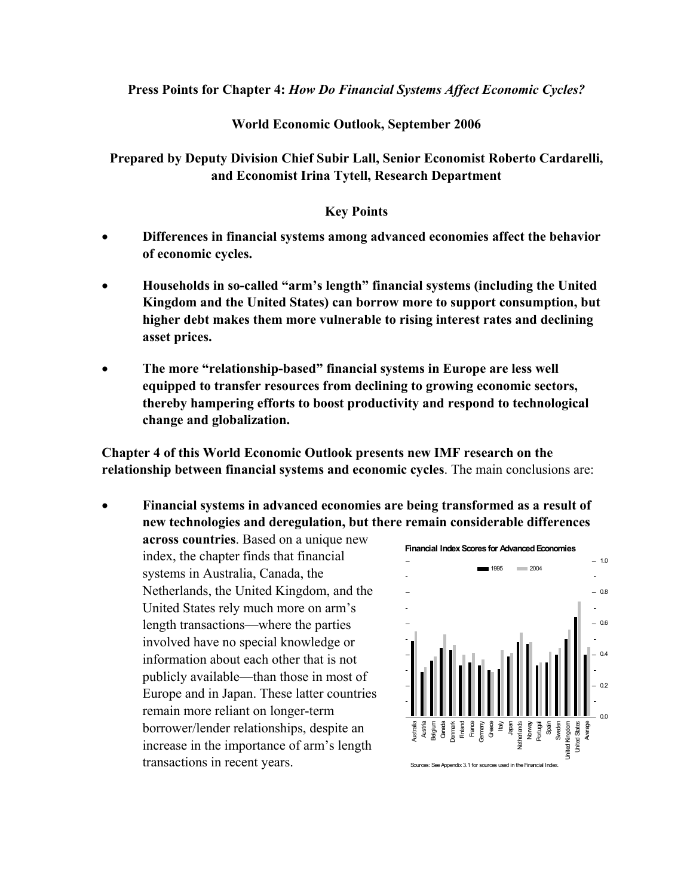**Press Points for Chapter 4:** *How Do Financial Systems Affect Economic Cycles?* 

## **World Economic Outlook, September 2006**

## **Prepared by Deputy Division Chief Subir Lall, Senior Economist Roberto Cardarelli, and Economist Irina Tytell, Research Department**

## **Key Points**

- **Differences in financial systems among advanced economies affect the behavior of economic cycles.**
- **Households in so-called "arm's length" financial systems (including the United Kingdom and the United States) can borrow more to support consumption, but higher debt makes them more vulnerable to rising interest rates and declining asset prices.**
- **The more "relationship-based" financial systems in Europe are less well equipped to transfer resources from declining to growing economic sectors, thereby hampering efforts to boost productivity and respond to technological change and globalization.**

**Chapter 4 of this World Economic Outlook presents new IMF research on the relationship between financial systems and economic cycles**. The main conclusions are:

• **Financial systems in advanced economies are being transformed as a result of new technologies and deregulation, but there remain considerable differences** 

**across countries**. Based on a unique new index, the chapter finds that financial systems in Australia, Canada, the Netherlands, the United Kingdom, and the United States rely much more on arm's length transactions—where the parties involved have no special knowledge or information about each other that is not publicly available—than those in most of Europe and in Japan. These latter countries remain more reliant on longer-term borrower/lender relationships, despite an increase in the importance of arm's length transactions in recent years.

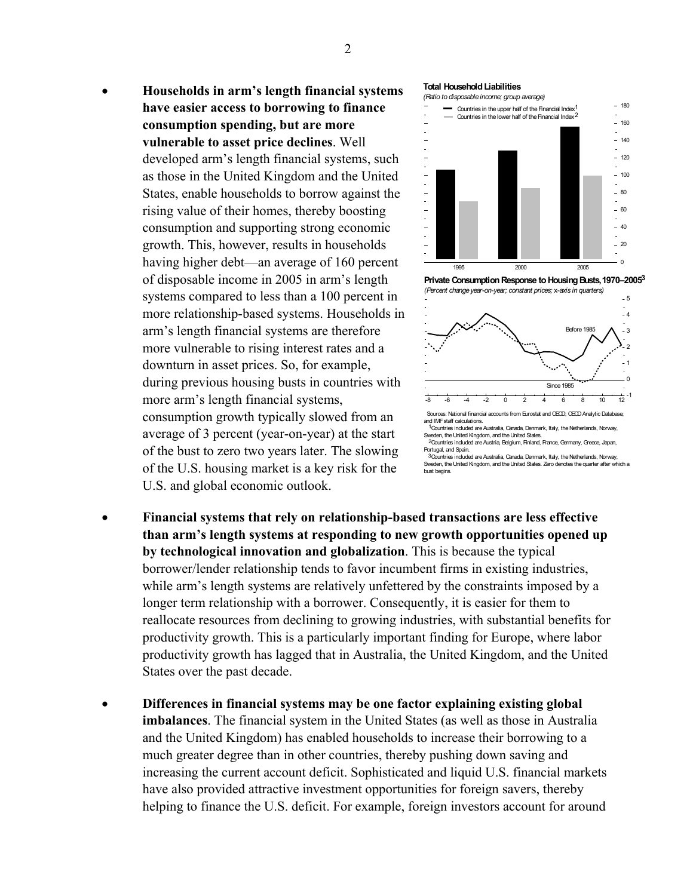• **Households in arm's length financial systems have easier access to borrowing to finance consumption spending, but are more vulnerable to asset price declines**. Well developed arm's length financial systems, such as those in the United Kingdom and the United States, enable households to borrow against the rising value of their homes, thereby boosting consumption and supporting strong economic growth. This, however, results in households having higher debt—an average of 160 percent of disposable income in 2005 in arm's length systems compared to less than a 100 percent in more relationship-based systems. Households in arm's length financial systems are therefore more vulnerable to rising interest rates and a downturn in asset prices. So, for example, during previous housing busts in countries with more arm's length financial systems, consumption growth typically slowed from an average of 3 percent (year-on-year) at the start of the bust to zero two years later. The slowing of the U.S. housing market is a key risk for the U.S. and global economic outlook.



*(Ratio to disposable income; group average)*



**Private Consumption Response to Housing Busts,1970–2005 3** *(Percent change year-on-year; constant prices;* x*-axis in quarters)*



Sweden, the United Kingdom, and the United States. Countries included are Austria, Belgium, Finland, France, Germany, Greece, Japan, 2 Portugal, and Spain.

3 Countries included are Australia, Canada, Denmark, Italy, the Netherlands, Norway, Sweden, the United Kingdom, and the United States. Zero denotes the quarter after which a bust begins.

- **Financial systems that rely on relationship-based transactions are less effective than arm's length systems at responding to new growth opportunities opened up by technological innovation and globalization**. This is because the typical borrower/lender relationship tends to favor incumbent firms in existing industries, while arm's length systems are relatively unfettered by the constraints imposed by a longer term relationship with a borrower. Consequently, it is easier for them to reallocate resources from declining to growing industries, with substantial benefits for productivity growth. This is a particularly important finding for Europe, where labor productivity growth has lagged that in Australia, the United Kingdom, and the United States over the past decade.
- **Differences in financial systems may be one factor explaining existing global imbalances**. The financial system in the United States (as well as those in Australia and the United Kingdom) has enabled households to increase their borrowing to a much greater degree than in other countries, thereby pushing down saving and increasing the current account deficit. Sophisticated and liquid U.S. financial markets have also provided attractive investment opportunities for foreign savers, thereby helping to finance the U.S. deficit. For example, foreign investors account for around